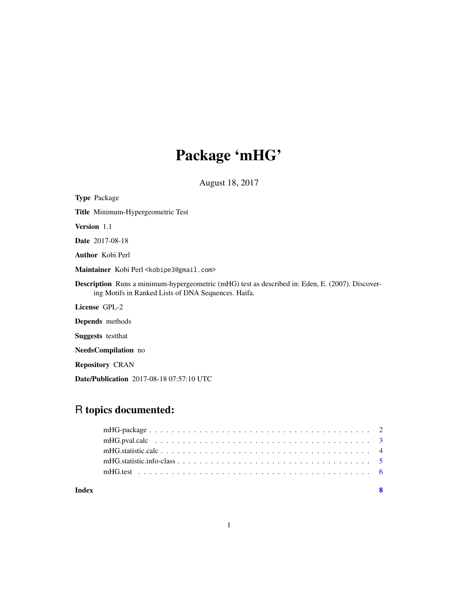# Package 'mHG'

August 18, 2017

| <b>Type</b> Package                                                                                                                                            |
|----------------------------------------------------------------------------------------------------------------------------------------------------------------|
| Title Minimum-Hypergeometric Test                                                                                                                              |
| <b>Version</b> 1.1                                                                                                                                             |
| <b>Date</b> 2017-08-18                                                                                                                                         |
| <b>Author</b> Kobi Perl                                                                                                                                        |
| Maintainer Kobi Perl < kobipe 3@gmail.com>                                                                                                                     |
| <b>Description</b> Runs a minimum-hypergeometric (mHG) test as described in: Eden, E. (2007). Discover-<br>ing Motifs in Ranked Lists of DNA Sequences. Haifa. |
| License GPL-2                                                                                                                                                  |
| <b>Depends</b> methods                                                                                                                                         |
| <b>Suggests</b> test that                                                                                                                                      |
| <b>NeedsCompilation</b> no                                                                                                                                     |
| <b>Repository CRAN</b>                                                                                                                                         |
|                                                                                                                                                                |

Date/Publication 2017-08-18 07:57:10 UTC

# R topics documented:

| Index |  |
|-------|--|
|       |  |
|       |  |
|       |  |
|       |  |
|       |  |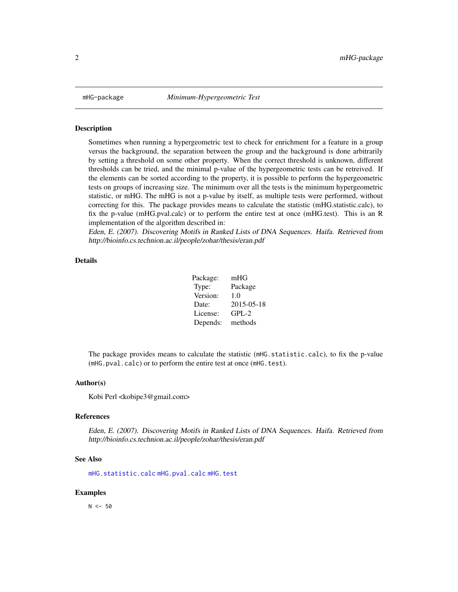<span id="page-1-0"></span>

#### Description

Sometimes when running a hypergeometric test to check for enrichment for a feature in a group versus the background, the separation between the group and the background is done arbitrarily by setting a threshold on some other property. When the correct threshold is unknown, different thresholds can be tried, and the minimal p-value of the hypergeometric tests can be retreived. If the elements can be sorted according to the property, it is possible to perform the hypergeometric tests on groups of increasing size. The minimum over all the tests is the minimum hypergeometric statistic, or mHG. The mHG is not a p-value by itself, as multiple tests were performed, without correcting for this. The package provides means to calculate the statistic (mHG.statistic.calc), to fix the p-value (mHG.pval.calc) or to perform the entire test at once (mHG.test). This is an R implementation of the algorithm described in:

Eden, E. (2007). Discovering Motifs in Ranked Lists of DNA Sequences. Haifa. Retrieved from http://bioinfo.cs.technion.ac.il/people/zohar/thesis/eran.pdf

#### Details

| Package: | mHG        |
|----------|------------|
| Type:    | Package    |
| Version: | 1.0        |
| Date:    | 2015-05-18 |
| License: | $GPL-2$    |
| Depends: | methods    |

The package provides means to calculate the statistic (mHG.statistic.calc), to fix the p-value (mHG.pval.calc) or to perform the entire test at once (mHG.test).

#### Author(s)

Kobi Perl <kobipe3@gmail.com>

#### References

Eden, E. (2007). Discovering Motifs in Ranked Lists of DNA Sequences. Haifa. Retrieved from http://bioinfo.cs.technion.ac.il/people/zohar/thesis/eran.pdf

#### See Also

[mHG.statistic.calc](#page-3-1) [mHG.pval.calc](#page-2-1) [mHG.test](#page-5-1)

#### Examples

 $N < -50$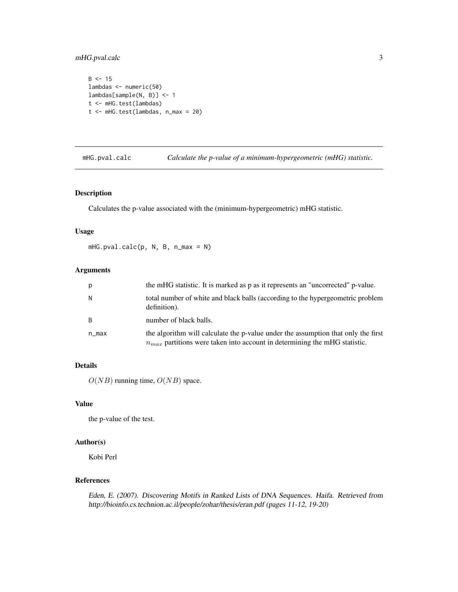# <span id="page-2-0"></span>mHG.pval.calc 3

```
B \le -15lambdas <- numeric(50)
lambdas[sample(N, B)] <- 1
t <- mHG.test(lambdas)
t <- mHG.test(lambdas, n_max = 20)
```
<span id="page-2-1"></span>mHG.pval.calc *Calculate the p-value of a minimum-hypergeometric (mHG) statistic.*

# Description

Calculates the p-value associated with the (minimum-hypergeometric) mHG statistic.

# Usage

mHG.pval.calc(p, N, B, n\_max = N)

#### Arguments

| p            | the mHG statistic. It is marked as p as it represents an "uncorrected" p-value.                                                                                     |
|--------------|---------------------------------------------------------------------------------------------------------------------------------------------------------------------|
| N            | total number of white and black balls (according to the hypergeometric problem<br>definition).                                                                      |
| <sub>B</sub> | number of black balls.                                                                                                                                              |
| n_max        | the algorithm will calculate the p-value under the assumption that only the first<br>$n_{max}$ partitions were taken into account in determining the mHG statistic. |

### Details

 $O(NB)$  running time,  $O(NB)$  space.

#### Value

the p-value of the test.

# Author(s)

Kobi Perl

# References

Eden, E. (2007). Discovering Motifs in Ranked Lists of DNA Sequences. Haifa. Retrieved from http://bioinfo.cs.technion.ac.il/people/zohar/thesis/eran.pdf (pages 11-12, 19-20)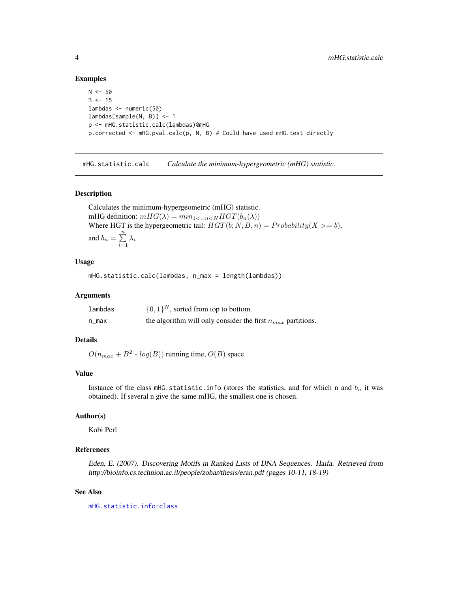#### Examples

```
N < -50B < -15lambdas <- numeric(50)
lambdas[sample(N, B)] <- 1
p <- mHG.statistic.calc(lambdas)@mHG
p.corrected <- mHG.pval.calc(p, N, B) # Could have used mHG.test directly
```
<span id="page-3-1"></span>mHG.statistic.calc *Calculate the minimum-hypergeometric (mHG) statistic.*

### Description

Calculates the minimum-hypergeometric (mHG) statistic. mHG definition:  $mHG(\lambda) = min_{1 \leq n \leq N} HGT(b_n(\lambda))$ Where HGT is the hypergeometric tail:  $HGT(b; N, B, n) = Probability(X >= b),$ and  $b_n = \sum_{n=1}^n$  $\sum_{i=1} \lambda_i$ .

#### Usage

mHG.statistic.calc(lambdas, n\_max = length(lambdas))

#### Arguments

| lambdas | $\{0,1\}^N$ , sorted from top to bottom.                         |
|---------|------------------------------------------------------------------|
| n_max   | the algorithm will only consider the first $n_{max}$ partitions. |

# Details

 $O(n_{max} + B^2 * log(B))$  running time,  $O(B)$  space.

#### Value

Instance of the class mHG.statistic.info (stores the statistics, and for which n and  $b_n$  it was obtained). If several n give the same mHG, the smallest one is chosen.

#### Author(s)

Kobi Perl

#### References

Eden, E. (2007). Discovering Motifs in Ranked Lists of DNA Sequences. Haifa. Retrieved from http://bioinfo.cs.technion.ac.il/people/zohar/thesis/eran.pdf (pages 10-11, 18-19)

#### See Also

[mHG.statistic.info-class](#page-4-1)

<span id="page-3-0"></span>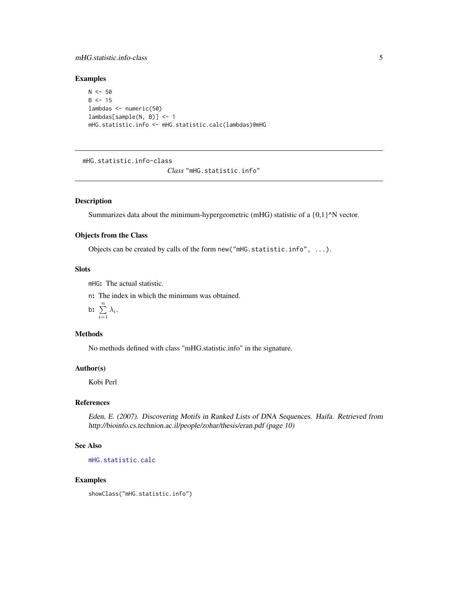# <span id="page-4-0"></span>mHG.statistic.info-class 5

# Examples

```
N < -50B < - 15lambdas <- numeric(50)
lambdas[sample(N, B)] <- 1
mHG.statistic.info <- mHG.statistic.calc(lambdas)@mHG
```
<span id="page-4-1"></span>mHG.statistic.info-class

```
Class "mHG.statistic.info"
```
# Description

Summarizes data about the minimum-hypergeometric (mHG) statistic of a  $\{0,1\}^N$  vector.

# Objects from the Class

Objects can be created by calls of the form new("mHG.statistic.info", ...).

# Slots

mHG: The actual statistic.

n: The index in which the minimum was obtained.

$$
\mathsf{b:} \ \sum_{i=1}^n \lambda_i.
$$

# Methods

No methods defined with class "mHG.statistic.info" in the signature.

# Author(s)

Kobi Perl

# References

Eden, E. (2007). Discovering Motifs in Ranked Lists of DNA Sequences. Haifa. Retrieved from http://bioinfo.cs.technion.ac.il/people/zohar/thesis/eran.pdf (page 10)

# See Also

[mHG.statistic.calc](#page-3-1)

#### Examples

showClass("mHG.statistic.info")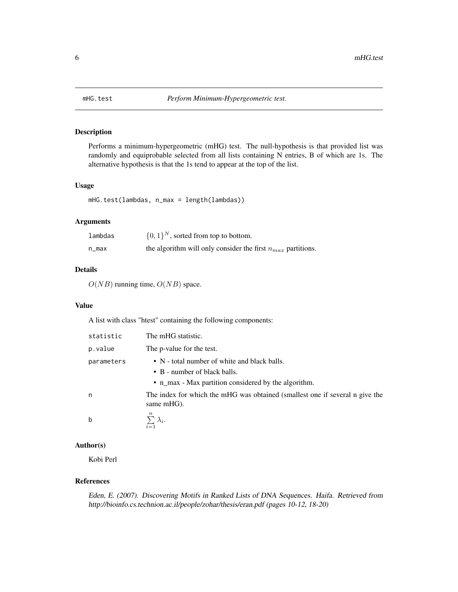<span id="page-5-1"></span><span id="page-5-0"></span>

# Description

Performs a minimum-hypergeometric (mHG) test. The null-hypothesis is that provided list was randomly and equiprobable selected from all lists containing N entries, B of which are 1s. The alternative hypothesis is that the 1s tend to appear at the top of the list.

#### Usage

mHG.test(lambdas, n\_max = length(lambdas))

# Arguments

| lambdas | $\{0,1\}^N$ , sorted from top to bottom.                         |
|---------|------------------------------------------------------------------|
| n_max   | the algorithm will only consider the first $n_{max}$ partitions. |

### Details

 $O(NB)$  running time,  $O(NB)$  space.

#### Value

A list with class "htest" containing the following components:

| statistic  | The mHG statistic.                                                                         |
|------------|--------------------------------------------------------------------------------------------|
| p.value    | The p-value for the test.                                                                  |
| parameters | • N - total number of white and black balls.                                               |
|            | • B - number of black balls.                                                               |
|            | • n_max - Max partition considered by the algorithm.                                       |
| n          | The index for which the mHG was obtained (smallest one if several n give the<br>same mHG). |
| b          | $\, n$<br>$\sum \lambda_i$ .                                                               |

# Author(s)

Kobi Perl

# References

Eden, E. (2007). Discovering Motifs in Ranked Lists of DNA Sequences. Haifa. Retrieved from http://bioinfo.cs.technion.ac.il/people/zohar/thesis/eran.pdf (pages 10-12, 18-20)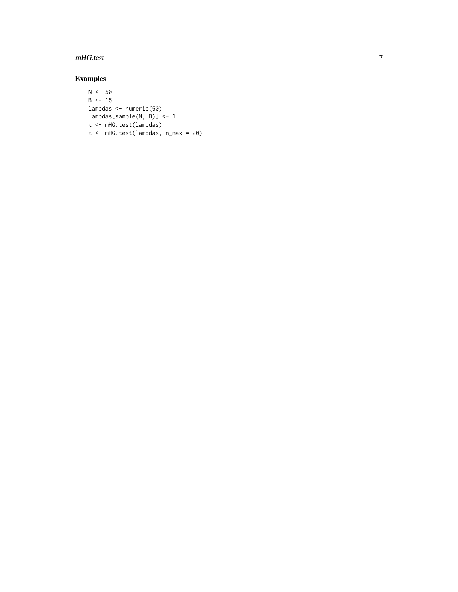# mHG.test

# Examples

```
N < -50B < -15lambdas <- numeric(50)
lambdas[sample(N, B)] <- 1
t <- mHG.test(lambdas)
t <- mHG.test(lambdas, n_max = 20)
```